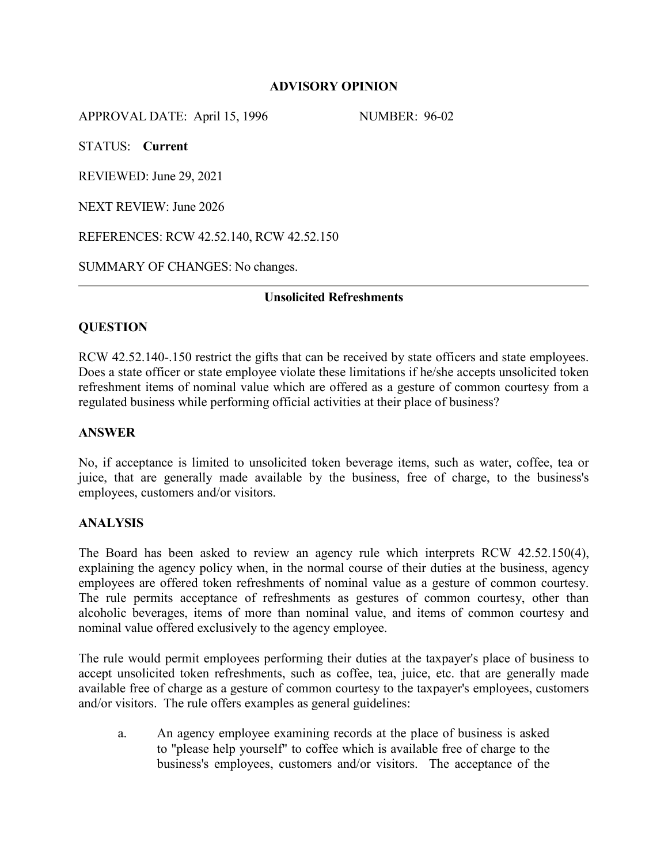### **ADVISORY OPINION**

APPROVAL DATE: April 15, 1996 NUMBER: 96-02

STATUS: **Current**

REVIEWED: June 29, 2021

NEXT REVIEW: June 2026

REFERENCES: RCW 42.52.140, RCW 42.52.150

SUMMARY OF CHANGES: No changes.

## **Unsolicited Refreshments**

# **QUESTION**

RCW 42.52.140-.150 restrict the gifts that can be received by state officers and state employees. Does a state officer or state employee violate these limitations if he/she accepts unsolicited token refreshment items of nominal value which are offered as a gesture of common courtesy from a regulated business while performing official activities at their place of business?

### **ANSWER**

No, if acceptance is limited to unsolicited token beverage items, such as water, coffee, tea or juice, that are generally made available by the business, free of charge, to the business's employees, customers and/or visitors.

### **ANALYSIS**

The Board has been asked to review an agency rule which interprets RCW 42.52.150(4), explaining the agency policy when, in the normal course of their duties at the business, agency employees are offered token refreshments of nominal value as a gesture of common courtesy. The rule permits acceptance of refreshments as gestures of common courtesy, other than alcoholic beverages, items of more than nominal value, and items of common courtesy and nominal value offered exclusively to the agency employee.

The rule would permit employees performing their duties at the taxpayer's place of business to accept unsolicited token refreshments, such as coffee, tea, juice, etc. that are generally made available free of charge as a gesture of common courtesy to the taxpayer's employees, customers and/or visitors. The rule offers examples as general guidelines:

a. An agency employee examining records at the place of business is asked to "please help yourself" to coffee which is available free of charge to the business's employees, customers and/or visitors. The acceptance of the